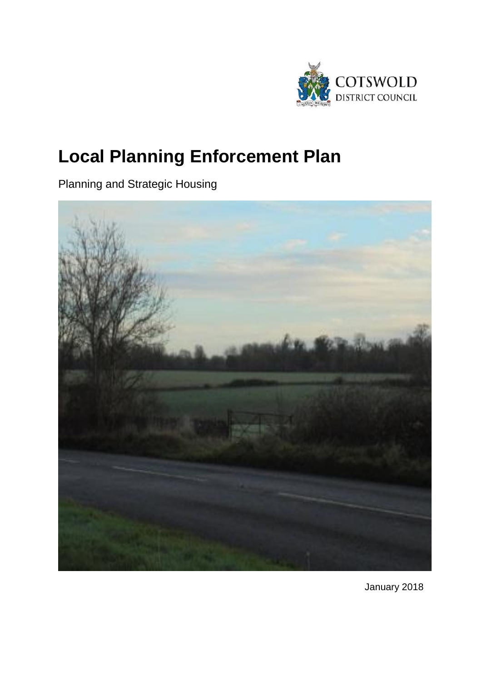

# **Local Planning Enforcement Plan**

Planning and Strategic Housing



January 2018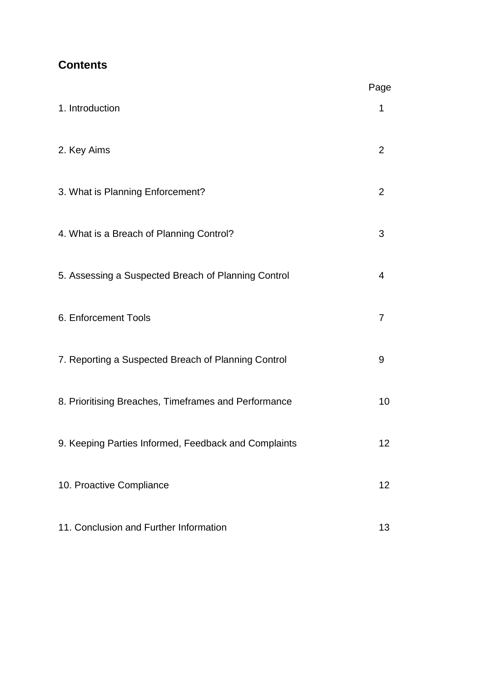# **Contents**

|                                                      | Page           |
|------------------------------------------------------|----------------|
| 1. Introduction                                      | 1              |
| 2. Key Aims                                          | $\overline{2}$ |
| 3. What is Planning Enforcement?                     | $\overline{2}$ |
| 4. What is a Breach of Planning Control?             | 3              |
| 5. Assessing a Suspected Breach of Planning Control  | $\overline{4}$ |
| 6. Enforcement Tools                                 | 7              |
| 7. Reporting a Suspected Breach of Planning Control  | 9              |
| 8. Prioritising Breaches, Timeframes and Performance | 10             |
| 9. Keeping Parties Informed, Feedback and Complaints | 12             |
| 10. Proactive Compliance                             | 12             |
| 11. Conclusion and Further Information               | 13             |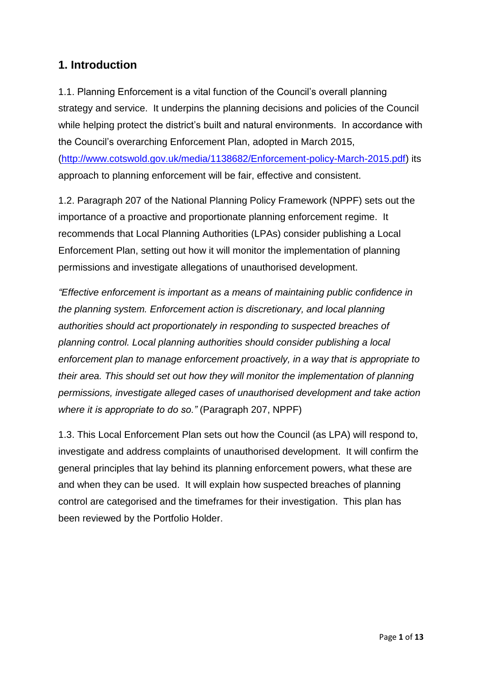## **1. Introduction**

1.1. Planning Enforcement is a vital function of the Council's overall planning strategy and service. It underpins the planning decisions and policies of the Council while helping protect the district's built and natural environments. In accordance with the Council's overarching Enforcement Plan, adopted in March 2015, [\(http://www.cotswold.gov.uk/media/1138682/Enforcement-policy-March-2015.pdf\)](http://www.cotswold.gov.uk/media/1138682/Enforcement-policy-March-2015.pdf) its approach to planning enforcement will be fair, effective and consistent.

1.2. Paragraph 207 of the National Planning Policy Framework (NPPF) sets out the importance of a proactive and proportionate planning enforcement regime. It recommends that Local Planning Authorities (LPAs) consider publishing a Local Enforcement Plan, setting out how it will monitor the implementation of planning permissions and investigate allegations of unauthorised development.

*"Effective enforcement is important as a means of maintaining public confidence in the planning system. Enforcement action is discretionary, and local planning authorities should act proportionately in responding to suspected breaches of planning control. Local planning authorities should consider publishing a local enforcement plan to manage enforcement proactively, in a way that is appropriate to their area. This should set out how they will monitor the implementation of planning permissions, investigate alleged cases of unauthorised development and take action where it is appropriate to do so."* (Paragraph 207, NPPF)

1.3. This Local Enforcement Plan sets out how the Council (as LPA) will respond to, investigate and address complaints of unauthorised development. It will confirm the general principles that lay behind its planning enforcement powers, what these are and when they can be used. It will explain how suspected breaches of planning control are categorised and the timeframes for their investigation. This plan has been reviewed by the Portfolio Holder.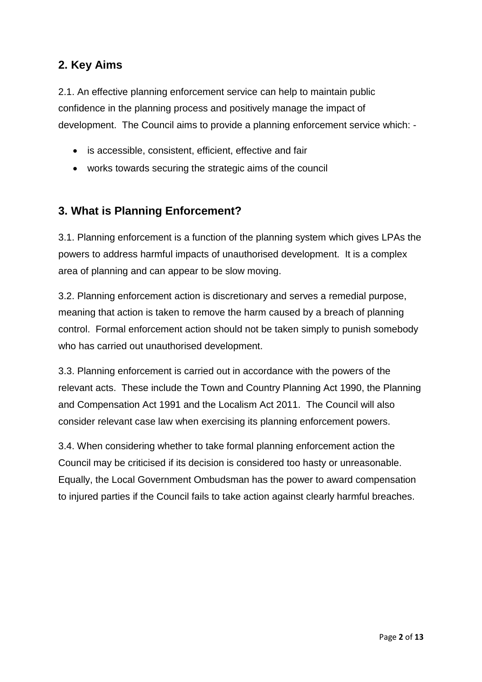## **2. Key Aims**

2.1. An effective planning enforcement service can help to maintain public confidence in the planning process and positively manage the impact of development. The Council aims to provide a planning enforcement service which: -

- is accessible, consistent, efficient, effective and fair
- works towards securing the strategic aims of the council

## **3. What is Planning Enforcement?**

3.1. Planning enforcement is a function of the planning system which gives LPAs the powers to address harmful impacts of unauthorised development. It is a complex area of planning and can appear to be slow moving.

3.2. Planning enforcement action is discretionary and serves a remedial purpose, meaning that action is taken to remove the harm caused by a breach of planning control. Formal enforcement action should not be taken simply to punish somebody who has carried out unauthorised development.

3.3. Planning enforcement is carried out in accordance with the powers of the relevant acts. These include the Town and Country Planning Act 1990, the Planning and Compensation Act 1991 and the Localism Act 2011. The Council will also consider relevant case law when exercising its planning enforcement powers.

3.4. When considering whether to take formal planning enforcement action the Council may be criticised if its decision is considered too hasty or unreasonable. Equally, the Local Government Ombudsman has the power to award compensation to injured parties if the Council fails to take action against clearly harmful breaches.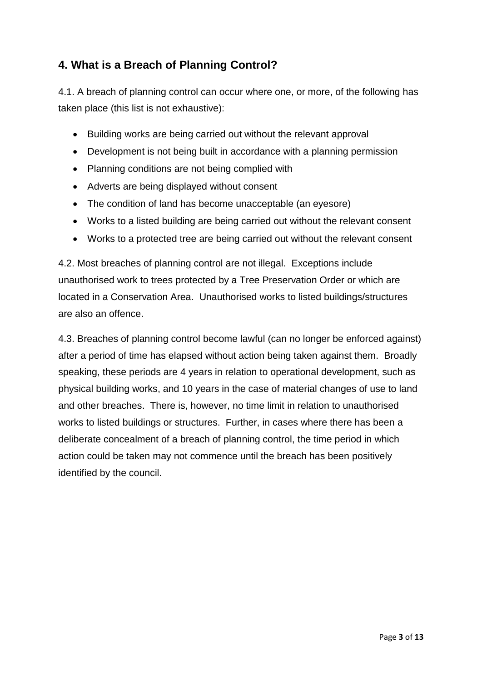# **4. What is a Breach of Planning Control?**

4.1. A breach of planning control can occur where one, or more, of the following has taken place (this list is not exhaustive):

- Building works are being carried out without the relevant approval
- Development is not being built in accordance with a planning permission
- Planning conditions are not being complied with
- Adverts are being displayed without consent
- The condition of land has become unacceptable (an eyesore)
- Works to a listed building are being carried out without the relevant consent
- Works to a protected tree are being carried out without the relevant consent

4.2. Most breaches of planning control are not illegal. Exceptions include unauthorised work to trees protected by a Tree Preservation Order or which are located in a Conservation Area. Unauthorised works to listed buildings/structures are also an offence.

4.3. Breaches of planning control become lawful (can no longer be enforced against) after a period of time has elapsed without action being taken against them. Broadly speaking, these periods are 4 years in relation to operational development, such as physical building works, and 10 years in the case of material changes of use to land and other breaches. There is, however, no time limit in relation to unauthorised works to listed buildings or structures. Further, in cases where there has been a deliberate concealment of a breach of planning control, the time period in which action could be taken may not commence until the breach has been positively identified by the council.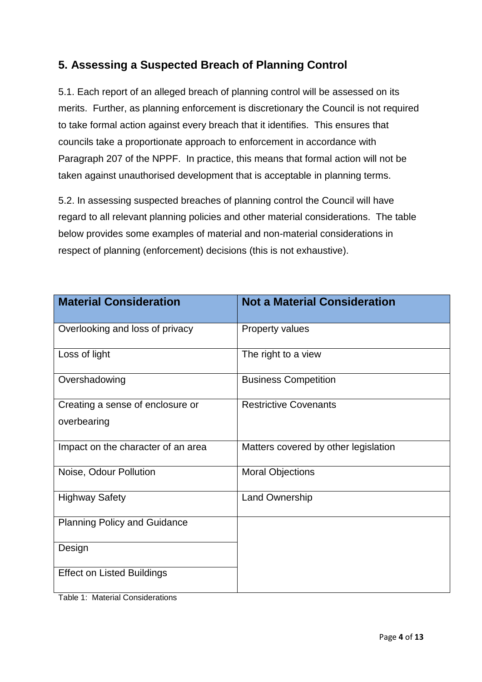# **5. Assessing a Suspected Breach of Planning Control**

5.1. Each report of an alleged breach of planning control will be assessed on its merits. Further, as planning enforcement is discretionary the Council is not required to take formal action against every breach that it identifies. This ensures that councils take a proportionate approach to enforcement in accordance with Paragraph 207 of the NPPF. In practice, this means that formal action will not be taken against unauthorised development that is acceptable in planning terms.

5.2. In assessing suspected breaches of planning control the Council will have regard to all relevant planning policies and other material considerations. The table below provides some examples of material and non-material considerations in respect of planning (enforcement) decisions (this is not exhaustive).

| <b>Material Consideration</b>       | <b>Not a Material Consideration</b>  |
|-------------------------------------|--------------------------------------|
| Overlooking and loss of privacy     | <b>Property values</b>               |
| Loss of light                       | The right to a view                  |
| Overshadowing                       | <b>Business Competition</b>          |
| Creating a sense of enclosure or    | <b>Restrictive Covenants</b>         |
| overbearing                         |                                      |
| Impact on the character of an area  | Matters covered by other legislation |
| Noise, Odour Pollution              | <b>Moral Objections</b>              |
| <b>Highway Safety</b>               | <b>Land Ownership</b>                |
| <b>Planning Policy and Guidance</b> |                                      |
| Design                              |                                      |
| <b>Effect on Listed Buildings</b>   |                                      |

Table 1: Material Considerations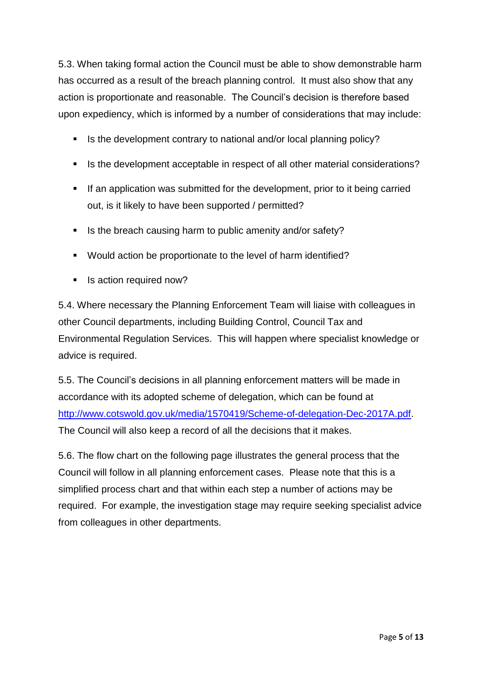5.3. When taking formal action the Council must be able to show demonstrable harm has occurred as a result of the breach planning control. It must also show that any action is proportionate and reasonable. The Council's decision is therefore based upon expediency, which is informed by a number of considerations that may include:

- Is the development contrary to national and/or local planning policy?
- Is the development acceptable in respect of all other material considerations?
- If an application was submitted for the development, prior to it being carried out, is it likely to have been supported / permitted?
- Is the breach causing harm to public amenity and/or safety?
- Would action be proportionate to the level of harm identified?
- Is action required now?

5.4. Where necessary the Planning Enforcement Team will liaise with colleagues in other Council departments, including Building Control, Council Tax and Environmental Regulation Services. This will happen where specialist knowledge or advice is required.

5.5. The Council's decisions in all planning enforcement matters will be made in accordance with its adopted scheme of delegation, which can be found at [http://www.cotswold.gov.uk/media/1570419/Scheme-of-delegation-Dec-2017A.pdf.](http://www.cotswold.gov.uk/media/1570419/Scheme-of-delegation-Dec-2017A.pdf) The Council will also keep a record of all the decisions that it makes.

5.6. The flow chart on the following page illustrates the general process that the Council will follow in all planning enforcement cases. Please note that this is a simplified process chart and that within each step a number of actions may be required. For example, the investigation stage may require seeking specialist advice from colleagues in other departments.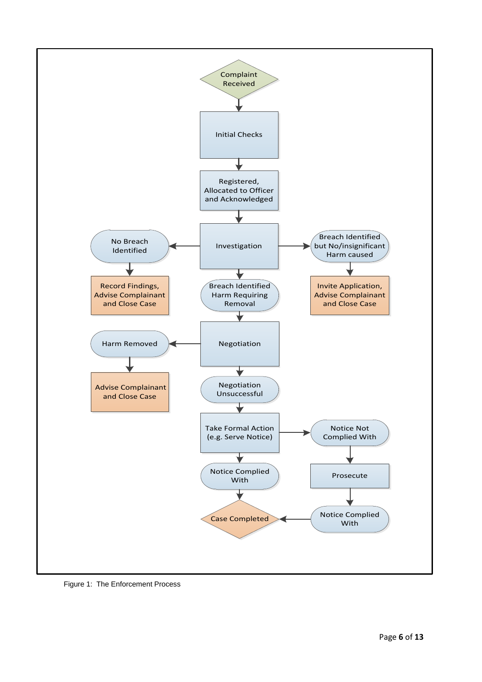

Figure 1: The Enforcement Process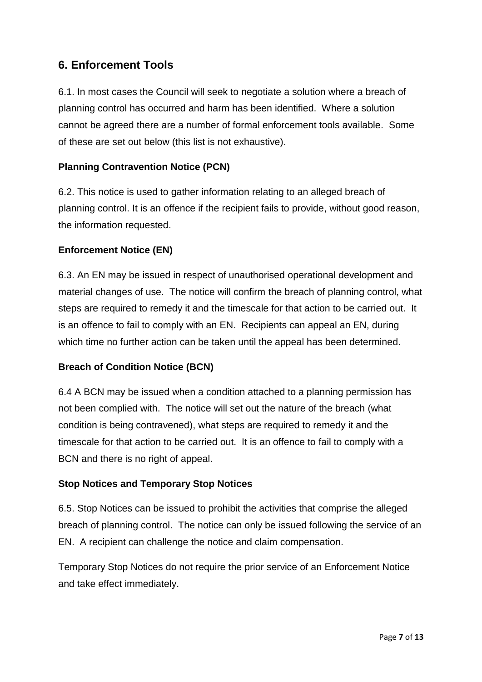## **6. Enforcement Tools**

6.1. In most cases the Council will seek to negotiate a solution where a breach of planning control has occurred and harm has been identified. Where a solution cannot be agreed there are a number of formal enforcement tools available. Some of these are set out below (this list is not exhaustive).

### **Planning Contravention Notice (PCN)**

6.2. This notice is used to gather information relating to an alleged breach of planning control. It is an offence if the recipient fails to provide, without good reason, the information requested.

#### **Enforcement Notice (EN)**

6.3. An EN may be issued in respect of unauthorised operational development and material changes of use. The notice will confirm the breach of planning control, what steps are required to remedy it and the timescale for that action to be carried out. It is an offence to fail to comply with an EN. Recipients can appeal an EN, during which time no further action can be taken until the appeal has been determined.

#### **Breach of Condition Notice (BCN)**

6.4 A BCN may be issued when a condition attached to a planning permission has not been complied with. The notice will set out the nature of the breach (what condition is being contravened), what steps are required to remedy it and the timescale for that action to be carried out. It is an offence to fail to comply with a BCN and there is no right of appeal.

#### **Stop Notices and Temporary Stop Notices**

6.5. Stop Notices can be issued to prohibit the activities that comprise the alleged breach of planning control. The notice can only be issued following the service of an EN. A recipient can challenge the notice and claim compensation.

Temporary Stop Notices do not require the prior service of an Enforcement Notice and take effect immediately.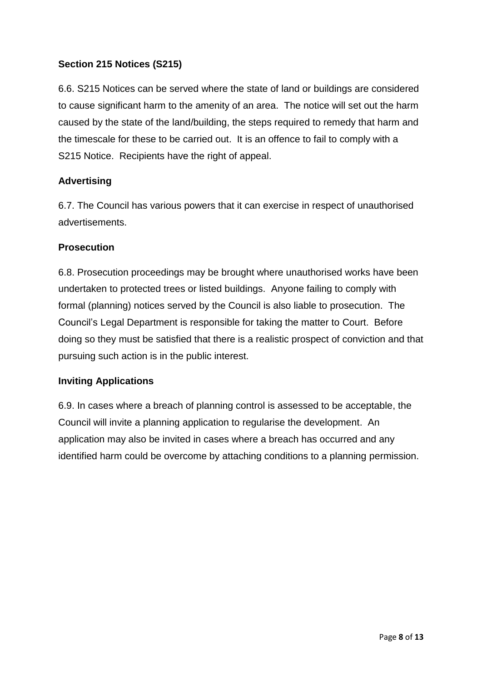#### **Section 215 Notices (S215)**

6.6. S215 Notices can be served where the state of land or buildings are considered to cause significant harm to the amenity of an area. The notice will set out the harm caused by the state of the land/building, the steps required to remedy that harm and the timescale for these to be carried out. It is an offence to fail to comply with a S215 Notice. Recipients have the right of appeal.

#### **Advertising**

6.7. The Council has various powers that it can exercise in respect of unauthorised advertisements.

#### **Prosecution**

6.8. Prosecution proceedings may be brought where unauthorised works have been undertaken to protected trees or listed buildings. Anyone failing to comply with formal (planning) notices served by the Council is also liable to prosecution. The Council's Legal Department is responsible for taking the matter to Court. Before doing so they must be satisfied that there is a realistic prospect of conviction and that pursuing such action is in the public interest.

#### **Inviting Applications**

6.9. In cases where a breach of planning control is assessed to be acceptable, the Council will invite a planning application to regularise the development. An application may also be invited in cases where a breach has occurred and any identified harm could be overcome by attaching conditions to a planning permission.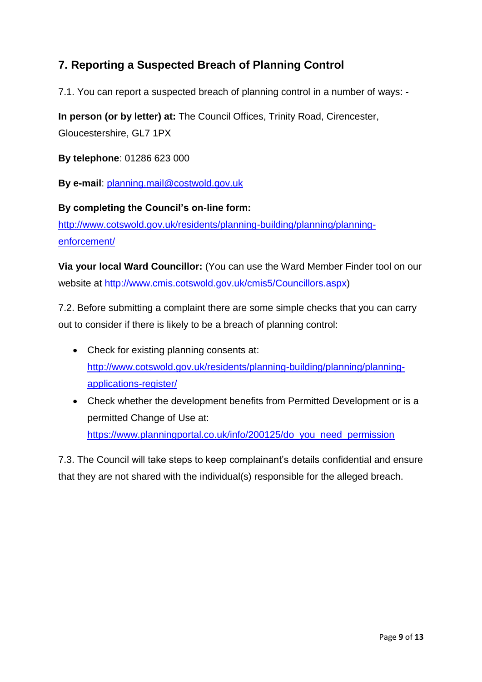# **7. Reporting a Suspected Breach of Planning Control**

7.1. You can report a suspected breach of planning control in a number of ways: -

**In person (or by letter) at:** The Council Offices, Trinity Road, Cirencester,

Gloucestershire, GL7 1PX

**By telephone**: 01286 623 000

**By e-mail**: [planning.mail@costwold.gov.uk](mailto:planning.mail@costwold.gov.uk)

**By completing the Council's on-line form:** [http://www.cotswold.gov.uk/residents/planning-building/planning/planning](http://www.cotswold.gov.uk/residents/planning-building/planning/planning-enforcement/)[enforcement/](http://www.cotswold.gov.uk/residents/planning-building/planning/planning-enforcement/)

**Via your local Ward Councillor:** (You can use the Ward Member Finder tool on our website at [http://www.cmis.cotswold.gov.uk/cmis5/Councillors.aspx\)](http://www.cmis.cotswold.gov.uk/cmis5/Councillors.aspx)

7.2. Before submitting a complaint there are some simple checks that you can carry out to consider if there is likely to be a breach of planning control:

- Check for existing planning consents at: [http://www.cotswold.gov.uk/residents/planning-building/planning/planning](http://www.cotswold.gov.uk/residents/planning-building/planning/planning-applications-register/)[applications-register/](http://www.cotswold.gov.uk/residents/planning-building/planning/planning-applications-register/)
- Check whether the development benefits from Permitted Development or is a permitted Change of Use at: [https://www.planningportal.co.uk/info/200125/do\\_you\\_need\\_permission](https://www.planningportal.co.uk/info/200125/do_you_need_permission)

7.3. The Council will take steps to keep complainant's details confidential and ensure that they are not shared with the individual(s) responsible for the alleged breach.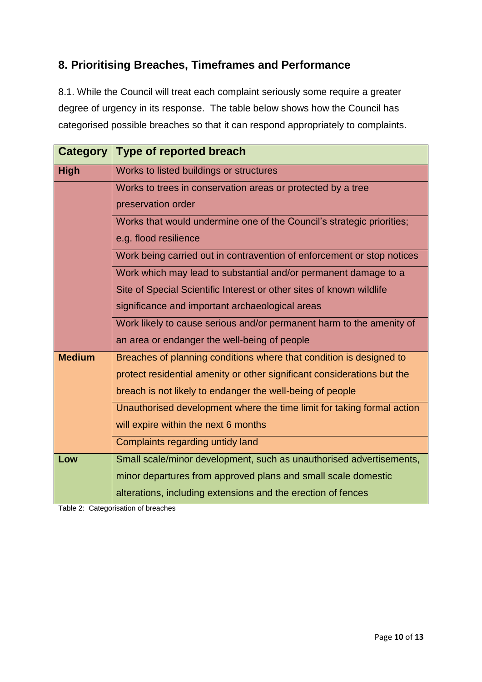## **8. Prioritising Breaches, Timeframes and Performance**

8.1. While the Council will treat each complaint seriously some require a greater degree of urgency in its response. The table below shows how the Council has categorised possible breaches so that it can respond appropriately to complaints.

| <b>Category</b> | Type of reported breach                                                                         |  |  |  |  |
|-----------------|-------------------------------------------------------------------------------------------------|--|--|--|--|
| <b>High</b>     | Works to listed buildings or structures                                                         |  |  |  |  |
|                 | Works to trees in conservation areas or protected by a tree                                     |  |  |  |  |
|                 | preservation order                                                                              |  |  |  |  |
|                 | Works that would undermine one of the Council's strategic priorities;                           |  |  |  |  |
|                 | e.g. flood resilience<br>Work being carried out in contravention of enforcement or stop notices |  |  |  |  |
|                 |                                                                                                 |  |  |  |  |
|                 | Work which may lead to substantial and/or permanent damage to a                                 |  |  |  |  |
|                 | Site of Special Scientific Interest or other sites of known wildlife                            |  |  |  |  |
|                 | significance and important archaeological areas                                                 |  |  |  |  |
|                 | Work likely to cause serious and/or permanent harm to the amenity of                            |  |  |  |  |
|                 | an area or endanger the well-being of people                                                    |  |  |  |  |
| <b>Medium</b>   | Breaches of planning conditions where that condition is designed to                             |  |  |  |  |
|                 | protect residential amenity or other significant considerations but the                         |  |  |  |  |
|                 | breach is not likely to endanger the well-being of people                                       |  |  |  |  |
|                 | Unauthorised development where the time limit for taking formal action                          |  |  |  |  |
|                 | will expire within the next 6 months                                                            |  |  |  |  |
|                 | Complaints regarding untidy land                                                                |  |  |  |  |
| Low             | Small scale/minor development, such as unauthorised advertisements,                             |  |  |  |  |
|                 | minor departures from approved plans and small scale domestic                                   |  |  |  |  |
|                 | alterations, including extensions and the erection of fences                                    |  |  |  |  |

Table 2: Categorisation of breaches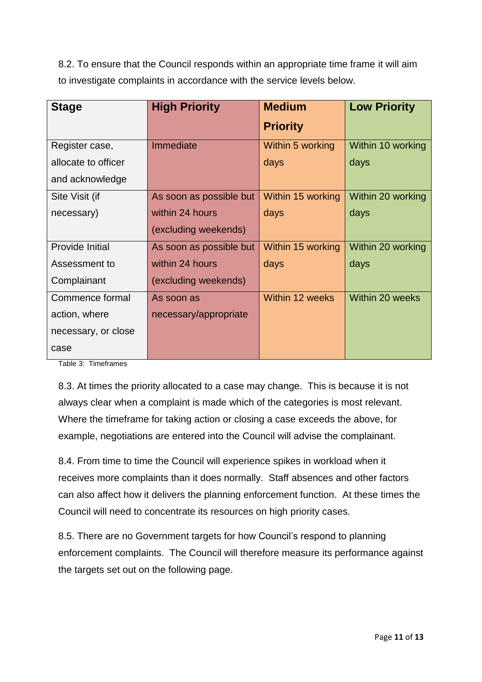8.2. To ensure that the Council responds within an appropriate time frame it will aim to investigate complaints in accordance with the service levels below.

| <b>Stage</b>        | <b>High Priority</b>    | <b>Medium</b>     | <b>Low Priority</b> |
|---------------------|-------------------------|-------------------|---------------------|
|                     |                         | <b>Priority</b>   |                     |
| Register case,      | Immediate               | Within 5 working  | Within 10 working   |
| allocate to officer |                         | days              | days                |
| and acknowledge     |                         |                   |                     |
| Site Visit (if      | As soon as possible but | Within 15 working | Within 20 working   |
| necessary)          | within 24 hours         | days              | days                |
|                     | (excluding weekends)    |                   |                     |
| Provide Initial     | As soon as possible but | Within 15 working | Within 20 working   |
| Assessment to       | within 24 hours         | days              | days                |
| Complainant         | (excluding weekends)    |                   |                     |
| Commence formal     | As soon as              | Within 12 weeks   | Within 20 weeks     |
| action, where       | necessary/appropriate   |                   |                     |
| necessary, or close |                         |                   |                     |
| case                |                         |                   |                     |

Table 3: Timeframes

8.3. At times the priority allocated to a case may change. This is because it is not always clear when a complaint is made which of the categories is most relevant. Where the timeframe for taking action or closing a case exceeds the above, for example, negotiations are entered into the Council will advise the complainant.

8.4. From time to time the Council will experience spikes in workload when it receives more complaints than it does normally. Staff absences and other factors can also affect how it delivers the planning enforcement function. At these times the Council will need to concentrate its resources on high priority cases.

8.5. There are no Government targets for how Council's respond to planning enforcement complaints. The Council will therefore measure its performance against the targets set out on the following page.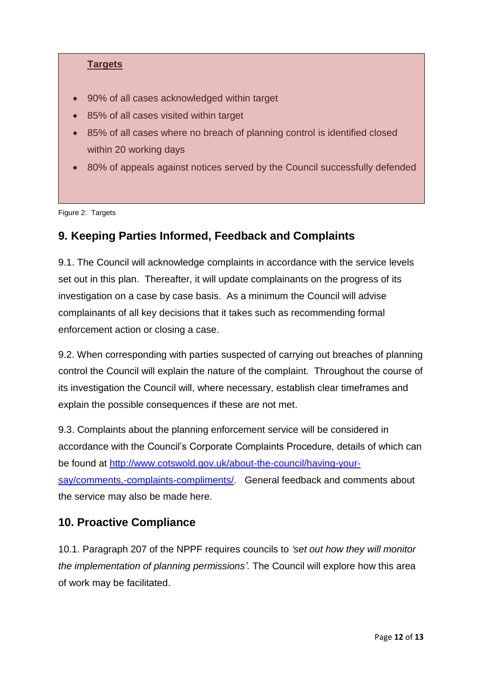#### **Targets**

- 90% of all cases acknowledged within target
- 85% of all cases visited within target
- 85% of all cases where no breach of planning control is identified closed within 20 working days
- 80% of appeals against notices served by the Council successfully defended

Figure 2: Targets

## **9. Keeping Parties Informed, Feedback and Complaints**

9.1. The Council will acknowledge complaints in accordance with the service levels set out in this plan. Thereafter, it will update complainants on the progress of its investigation on a case by case basis. As a minimum the Council will advise complainants of all key decisions that it takes such as recommending formal enforcement action or closing a case.

9.2. When corresponding with parties suspected of carrying out breaches of planning control the Council will explain the nature of the complaint. Throughout the course of its investigation the Council will, where necessary, establish clear timeframes and explain the possible consequences if these are not met.

9.3. Complaints about the planning enforcement service will be considered in accordance with the Council's Corporate Complaints Procedure, details of which can be found at [http://www.cotswold.gov.uk/about-the-council/having-your](http://www.cotswold.gov.uk/about-the-council/having-your-say/comments,-complaints-compliments/)[say/comments,-complaints-compliments/.](http://www.cotswold.gov.uk/about-the-council/having-your-say/comments,-complaints-compliments/) General feedback and comments about the service may also be made here.

## **10. Proactive Compliance**

10.1. Paragraph 207 of the NPPF requires councils to *'set out how they will monitor the implementation of planning permissions'.* The Council will explore how this area of work may be facilitated.